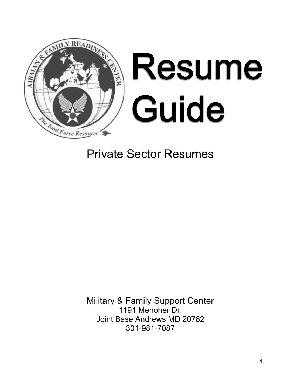

# Private Sector Resumes

Military & Family Support Center 1191 Menoher Dr. Joint Base Andrews MD 20762 301-981-7087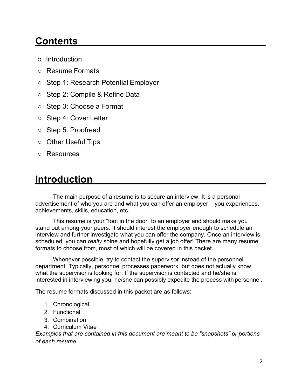## **Contents**

- Introduction
- Resume Formats
- Step 1: Research Potential Employer
- Step 2: Compile & Refine Data
- Step 3: Choose a Format
- Step 4: Cover Letter
- Step 5: Proofread
- Other Useful Tips
- Resources

## **Introduction**

The main purpose of a resume is to secure an interview. It is a personal advertisement of who you are and what you can offer an employer – you experiences, achievements, skills, education, etc.

This resume is your "foot in the door" to an employer and should make you stand out among your peers. It should interest the employer enough to schedule an interview and further investigate what you can offer the company. Once an interview is scheduled, you can *really* shine and hopefully get a job offer! There are many resume formats to choose from, most of which will be covered in this packet.

Whenever possible, try to contact the supervisor instead of the personnel department. Typically, personnel processes paperwork, but does not actually know what the supervisor is looking for. If the supervisor is contacted and he/she is interested in interviewing you, he/she can possibly expedite the process with personnel.

The resume formats discussed in this packet are as follows:

- 1. Chronological
- 2. Functional
- 3. Combination
- 4. Curriculum Vitae

*Examples that are contained in this document are meant to be "snapshots" or portions of each resume.*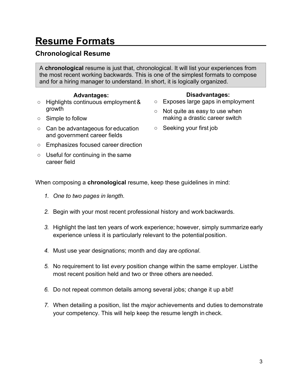# **Resume Formats**

## **Chronological Resume**

A **chronological** resume is just that, chronological. It will list your experiences from the most recent working backwards. This is one of the simplest formats to compose and for a hiring manager to understand. In short, it is logically organized.

### **Advantages:**

- Highlights continuous employment& growth
- Simple to follow
- Can be advantageous for education and government career fields

### ○ Emphasizes focused career direction

○ Useful for continuing in the same career field

#### **Disadvantages:**

- Exposes large gaps in employment
- Not quite as easy to use when making a drastic career switch
- Seeking your first job

When composing a **chronological** resume, keep these guidelines in mind:

- *1. One to two pages in length.*
- *2.* Begin with your most recent professional history and work backwards.
- *3.* Highlight the last ten years of work experience; however, simply summarize early experience unless it is particularly relevant to the potential position.
- *4.* Must use year designations; month and day are *optional*.
- *5.* No requirement to list *every* position change within the same employer. Listthe most recent position held and two or three others are needed.
- *6.* Do not repeat common details among several jobs; change it up abit!
- *7.* When detailing a position, list the *major* achievements and duties to demonstrate your competency. This will help keep the resume length in check.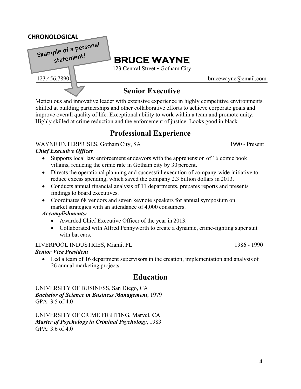# **Senior Executive**

**BRUCE WAYNE** 123 Central Street • Gotham City

Meticulous and innovative leader with extensive experience in highly competitive environments. Skilled at building partnerships and other collaborative efforts to achieve corporate goals and improve overall quality of life. Exceptional ability to work within a team and promote unity. Highly skilled at crime reduction and the enforcement of justice. Looks good in black.

## **Professional Experience**

#### WAYNE ENTERPRISES, Gotham City, SA 1990 - Present

#### *Chief Executive Officer*

- Supports local law enforcement endeavors with the apprehension of 16 comic book villains, reducing the crime rate in Gotham city by 30 percent.
- Directs the operational planning and successful execution of company-wide initiative to reduce excess spending, which saved the company 2.3 billion dollars in 2013.
- Conducts annual financial analysis of 11 departments, prepares reports and presents findings to board executives.
- Coordinates 68 vendors and seven keynote speakers for annual symposium on market strategies with an attendance of 4,000 consumers.

#### *Accomplishments:*

- Awarded Chief Executive Officer of the year in 2013.
- Collaborated with Alfred Pennyworth to create a dynamic, crime-fighting super suit with bat ears.

#### LIVERPOOL INDUSTRIES, Miami, FL 1986 - 1990

#### *Senior Vice President*

• Led a team of 16 department supervisors in the creation, implementation and analysis of 26 annual marketing projects.

## **Education**

UNIVERSITY OF BUSINESS, San Diego, CA *Bachelor of Science in Business Management*, 1979 GPA: 3.5 of 4.0

UNIVERSITY OF CRIME FIGHTING, Marvel, CA *Master of Psychology in Criminal Psychology*, 1983 GPA: 3.6 of 4.0

#### 123.456.7890 [brucewayne@email.com](mailto:brucewayne@email.com)

**CHRONOLOGICAL**<br>**Example of a personal** statement!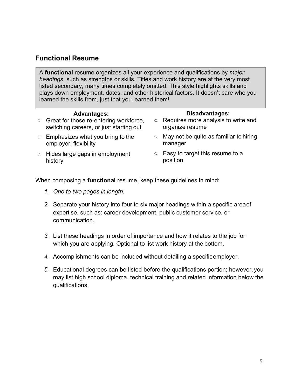### **Functional Resume**

A **functional** resume organizes all your experience and qualifications by *major headings*, such as strengths or skills. Titles and work history are at the very most listed secondary, many times completely omitted. This style highlights skills and plays down employment, dates, and other historical factors. It doesn't care who you learned the skills from, just that you learned them!

#### **Advantages:**

- Great for those re-entering workforce, switching careers, or just starting out
- Emphasizes what you bring to the employer; flexibility
- Hides large gaps in employment history
- **Disadvantages:**
- Requires more analysis to write and organize resume
- $\circ$  May not be quite as familiar to hiring manager
- Easy to target this resume to a position

When composing a **functional** resume, keep these guidelines in mind:

- *1. One to two pages in length.*
- *2.* Separate your history into four to six major headings within a specific areaof expertise, such as: career development, public customer service, or communication.
- *3.* List these headings in order of importance and how it relates to the job for which you are applying. Optional to list work history at the bottom.
- *4.* Accomplishments can be included without detailing a specificemployer.
- *5.* Educational degrees can be listed before the qualifications portion; however, you may list high school diploma, technical training and related information below the qualifications.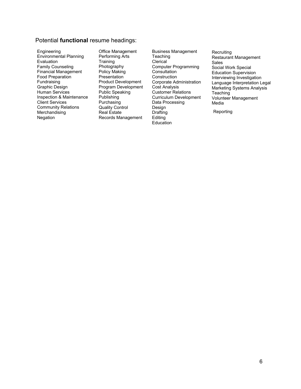#### Potential **functional** resume headings:

Engineering Environmental Planning Evaluation Family Counseling Financial Management Food Preparation Fundraising Graphic Design Human Services Inspection & Maintenance Client Services Community Relations **Merchandising** Negation

Office Management Performing Arts **Training** Photography Policy Making **Presentation** Product Development Program Development Public Speaking Publishing Purchasing Quality Control Real Estate Records Management

Business Management **Teaching Clerical** Computer Programming **Consultation Construction** Corporate Administration Cost Analysis Customer Relations Curriculum Development Data Processing Design Drafting **Editing Education** 

**Recruiting** Restaurant Management Sales Social Work Special Education Supervision Interviewing Investigation Language Interpretation Legal Marketing Systems Analysis **Teaching** Volunteer Management Media

**Reporting**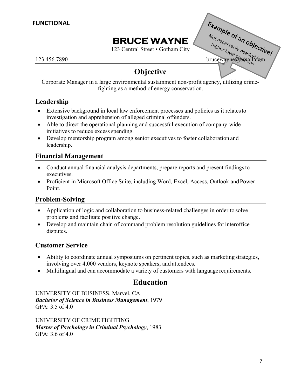## **BRUCE WAYNE**

123 Central Street • Gotham City

ERUCE WAYNE<br>
123.456.7890<br>
123.456.7890<br>
123.456.7890<br>
123.456.7890

## **Objective**

Corporate Manager in a large environmental sustainment non-profit agency, utilizing crimefighting as a method of energy conservation.

### **Leadership**

- Extensive background in local law enforcement processes and policies as it relates to investigation and apprehension of alleged criminal offenders.
- Able to direct the operational planning and successful execution of company-wide initiatives to reduce excess spending.
- Develop mentorship program among senior executives to foster collaboration and leadership.

### **Financial Management**

- Conduct annual financial analysis departments, prepare reports and present findings to executives.
- Proficient in Microsoft Office Suite, including Word, Excel, Access, Outlook and Power Point.

### **Problem-Solving**

- Application of logic and collaboration to business-related challenges in order to solve problems and facilitate positive change.
- Develop and maintain chain of command problem resolution guidelines for interoffice disputes.

### **Customer Service**

- Ability to coordinate annual symposiums on pertinent topics, such as marketing strategies, involving over 4,000 vendors, keynote speakers, and attendees.
- Multilingual and can accommodate a variety of customers with language requirements.

## **Education**

UNIVERSITY OF BUSINESS, Marvel, CA *Bachelor of Science in Business Management*, 1979 GPA: 3.5 of 4.0

UNIVERSITY OF CRIME FIGHTING *Master of Psychology in Criminal Psychology*, 1983 GPA: 3.6 of 4.0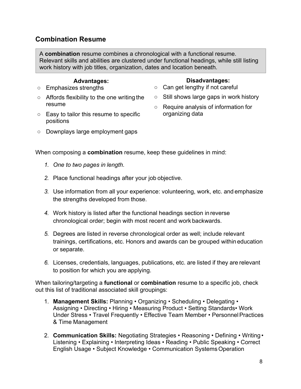### **Combination Resume**

A **combination** resume combines a chronological with a functional resume. Relevant skills and abilities are clustered under functional headings, while still listing work history with job titles, organization, dates and location beneath.

#### **Advantages:**

- Emphasizes strengths
- Affords flexibility to the one writing the resume
- Easy to tailor this resume to specific positions
- Downplays large employment gaps

When composing a **combination** resume, keep these guidelines in mind:

- *1. One to two pages in length.*
- *2.* Place functional headings after your job objective.
- *3.* Use information from all your experience: volunteering, work, etc. and emphasize the strengths developed from those.
- *4.* Work history is listed after the functional headings section inreverse chronological order; begin with most recent and work backwards.
- *5.* Degrees are listed in reverse chronological order as well; include relevant trainings, certifications, etc. Honors and awards can be grouped within education or separate.
- *6.* Licenses, credentials, languages, publications, etc. are listed if they are relevant to position for which you are applying.

When tailoring/targeting a **functional** or **combination** resume to a specific job, check out this list of traditional associated skill groupings:

- 1. **Management Skills:** Planning Organizing Scheduling Delegating Assigning • Directing • Hiring • Measuring Product • Setting Standards• Work Under Stress • Travel Frequently • Effective Team Member • Personnel Practices & Time Management
- 2. **Communication Skills:** Negotiating Strategies Reasoning Defining Writing Listening • Explaining • Interpreting Ideas • Reading • Public Speaking • Correct English Usage • Subject Knowledge • Communication SystemsOperation

#### **Disadvantages:**

- Can get lengthy if not careful
- Still shows large gaps in work history
- Require analysis of information for organizing data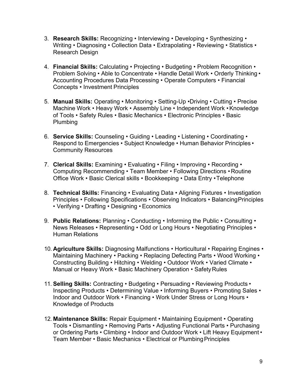- 3. **Research Skills:** Recognizing Interviewing Developing Synthesizing Writing • Diagnosing • Collection Data • Extrapolating • Reviewing • Statistics • Research Design
- 4. **Financial Skills:** Calculating Projecting Budgeting Problem Recognition Problem Solving • Able to Concentrate • Handle Detail Work • Orderly Thinking • Accounting Procedures Data Processing • Operate Computers • Financial Concepts • Investment Principles
- 5. **Manual Skills:** Operating Monitoring Setting-Up •Driving Cutting Precise Machine Work • Heavy Work • Assembly Line • Independent Work • Knowledge of Tools • Safety Rules • Basic Mechanics • Electronic Principles • Basic Plumbing
- 6. **Service Skills:** Counseling Guiding Leading Listening Coordinating Respond to Emergencies • Subject Knowledge • Human Behavior Principles • Community Resources
- 7. **Clerical Skills:** Examining Evaluating Filing Improving Recording Computing Recommending • Team Member • Following Directions • Routine Office Work • Basic Clerical skills • Bookkeeping • Data Entry •Telephone
- 8. **Technical Skills:** Financing Evaluating Data Aligning Fixtures Investigation Principles • Following Specifications • Observing Indicators • BalancingPrinciples • Verifying • Drafting • Designing • Economics
- 9. **Public Relations:** Planning Conducting Informing the Public Consulting News Releases • Representing • Odd or Long Hours • Negotiating Principles • Human Relations
- 10. **Agriculture Skills:** Diagnosing Malfunctions Horticultural Repairing Engines Maintaining Machinery • Packing • Replacing Defecting Parts • Wood Working • Constructing Building • Hitching • Welding • Outdoor Work • Varied Climate • Manual or Heavy Work • Basic Machinery Operation • Safety Rules
- 11. **Selling Skills: Contracting Budgeting Persuading Reviewing Products** Inspecting Products • Determining Value • Informing Buyers • Promoting Sales • Indoor and Outdoor Work • Financing • Work Under Stress or Long Hours • Knowledge of Products
- 12. **Maintenance Skills:** Repair Equipment Maintaining Equipment Operating Tools • Dismantling • Removing Parts • Adjusting Functional Parts • Purchasing or Ordering Parts • Climbing • Indoor and Outdoor Work • Lift Heavy Equipment • Team Member • Basic Mechanics • Electrical or PlumbingPrinciples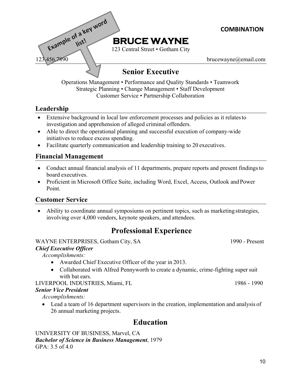

Customer Service • Partnership Collaboration

### **Leadership**

- Extensive background in local law enforcement processes and policies as it relates to investigation and apprehension of alleged criminal offenders.
- Able to direct the operational planning and successful execution of company-wide initiatives to reduce excess spending.
- Facilitate quarterly communication and leadership training to 20 executives.

### **Financial Management**

- Conduct annual financial analysis of 11 departments, prepare reports and present findings to board executives.
- Proficient in Microsoft Office Suite, including Word, Excel, Access, Outlook and Power Point.

### **Customer Service**

• Ability to coordinate annual symposiums on pertinent topics, such as marketing strategies, involving over 4,000 vendors, keynote speakers, and attendees.

## **Professional Experience**

WAYNE ENTERPRISES, Gotham City, SA 1990 - Present

#### *Chief Executive Officer*

*Accomplishments:*

- Awarded Chief Executive Officer of the year in 2013.
- Collaborated with Alfred Pennyworth to create a dynamic, crime-fighting super suit with bat ears.

LIVERPOOL INDUSTRIES, Miami, FL 1986 - 1990

#### *Senior Vice President*

*Accomplishments:*

• Lead a team of 16 department supervisors in the creation, implementation and analysis of 26 annual marketing projects.

## **Education**

UNIVERSITY OF BUSINESS, Marvel, CA *Bachelor of Science in Business Management*, 1979 GPA: 3.5 of 4.0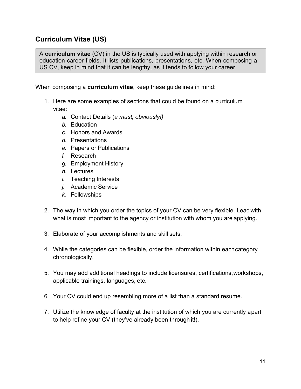### **Curriculum Vitae (US)**

A **curriculum vitae** (CV) in the US is typically used with applying within research or education career fields. It lists publications, presentations, etc. When composing a US CV, keep in mind that it can be lengthy, as it tends to follow your career.

When composing a **curriculum vitae**, keep these guidelines in mind:

- 1. Here are some examples of sections that could be found on a curriculum vitae:
	- *a.* Contact Details (*a must, obviously!)*
	- *b.* Education
	- *c.* Honors and Awards
	- *d.* Presentations
	- *e.* Papers or Publications
	- *f.* Research
	- *g.* Employment History
	- *h.* Lectures
	- *i.* Teaching Interests
	- *j.* Academic Service
	- *k.* Fellowships
- 2. The way in which you order the topics of your CV can be very flexible. Leadwith what is most important to the agency or institution with whom you are applying.
- 3. Elaborate of your accomplishments and skill sets.
- 4. While the categories can be flexible, order the information within eachcategory chronologically.
- 5. You may add additional headings to include licensures, certifications,workshops, applicable trainings, languages, etc.
- 6. Your CV could end up resembling more of a list than a standard resume.
- 7. Utilize the knowledge of faculty at the institution of which you are currently apart to help refine your CV (they've already been through it!).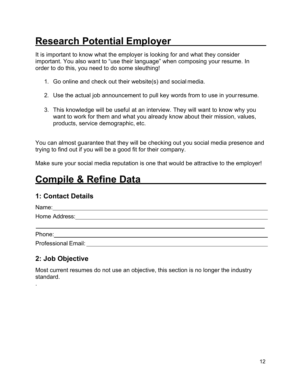# **Research Potential Employer**

It is important to know what the employer is looking for and what they consider important. You also want to "use their language" when composing your resume. In order to do this, you need to do some sleuthing!

- 1. Go online and check out their website(s) and social media.
- 2. Use the actual job announcement to pull key words from to use in yourresume.
- 3. This knowledge will be useful at an interview. They will want to know why you want to work for them and what you already know about their mission, values, products, service demographic, etc.

You can almost guarantee that they will be checking out you social media presence and trying to find out if you will be a good fit for their company.

Make sure your social media reputation is one that would be attractive to the employer!

# **Compile & Refine Data**

### **1: Contact Details**

| Name:                                                                                                                                                                                                                          |  |  |  |
|--------------------------------------------------------------------------------------------------------------------------------------------------------------------------------------------------------------------------------|--|--|--|
| Home Address: North States and States and States and States and States and States and States and States and States and States and States and States and States and States and States and States and States and States and Stat |  |  |  |
|                                                                                                                                                                                                                                |  |  |  |
| Phone: The contract of the contract of the contract of the contract of the contract of the contract of the contract of the contract of the contract of the contract of the contract of the contract of the contract of the con |  |  |  |
|                                                                                                                                                                                                                                |  |  |  |
|                                                                                                                                                                                                                                |  |  |  |

## **2: Job Objective**

.

Most current resumes do not use an objective, this section is no longer the industry standard.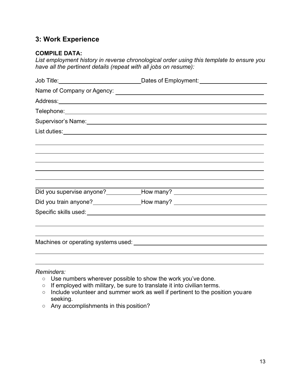### **3: Work Experience**

#### **COMPILE DATA:**

*List employment history in reverse chronological order using this template to ensure you have all the pertinent details (repeat with all jobs on resume):*

| Job Title:_____________________________                                                                          |                                                                                  |
|------------------------------------------------------------------------------------------------------------------|----------------------------------------------------------------------------------|
|                                                                                                                  |                                                                                  |
|                                                                                                                  |                                                                                  |
|                                                                                                                  |                                                                                  |
| Supervisor's Name: Supervisor of Name: Supervisor of Name: Supervisor of Name (Name of Name of Name of Name of N |                                                                                  |
|                                                                                                                  |                                                                                  |
|                                                                                                                  |                                                                                  |
|                                                                                                                  |                                                                                  |
|                                                                                                                  |                                                                                  |
|                                                                                                                  | Did you supervise anyone?____________How many? _________________________________ |
|                                                                                                                  | Did you train anyone?__________________How many? _______________________________ |
|                                                                                                                  |                                                                                  |
|                                                                                                                  |                                                                                  |
|                                                                                                                  |                                                                                  |
|                                                                                                                  |                                                                                  |

#### *Reminders:*

- Use numbers wherever possible to show the work you've done.
- If employed with military, be sure to translate it into civilian terms.
- Include volunteer and summer work as well if pertinent to the position youare seeking.
- Any accomplishments in this position?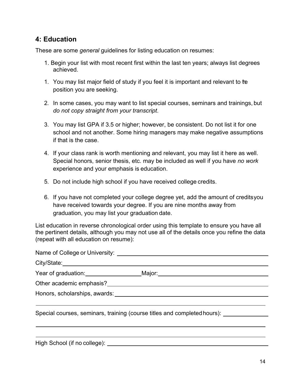### **4: Education**

These are some *general* guidelines for listing education on resumes:

- 1. Begin your list with most recent first within the last ten years; always list degrees achieved.
- 1. You may list major field of study if you feel it is important and relevant to te position you are seeking.
- 2. In some cases, you may want to list special courses, seminars and trainings, but *do not copy straight from your transcript*.
- 3. You may list GPA if 3.5 or higher; however, be consistent. Do not list it for one school and not another. Some hiring managers may make negative assumptions if that is the case.
- 4. If your class rank is worth mentioning and relevant, you may list it here as well. Special honors, senior thesis, etc. may be included as well if you have *no work*  experience and your emphasis is education.
- 5. Do not include high school if you have received college credits.
- 6. If you have not completed your college degree yet, add the amount of creditsyou have received towards your degree. If you are nine months away from graduation, you may list your graduation date.

List education in reverse chronological order using this template to ensure you have all the pertinent details, although you may not use all of the details once you refine the data (repeat with all education on resume):

|                                                       | Year of graduation: Major: Major: National Process Control of State Control of State Control of New York Control of State Control of State Control of New York Control of State Control of State Control of New York Control o |
|-------------------------------------------------------|--------------------------------------------------------------------------------------------------------------------------------------------------------------------------------------------------------------------------------|
|                                                       |                                                                                                                                                                                                                                |
|                                                       |                                                                                                                                                                                                                                |
|                                                       | Special courses, seminars, training (course titles and completed hours): _____________                                                                                                                                         |
|                                                       |                                                                                                                                                                                                                                |
| $\cdots$ $\cdots$ $\cdots$ $\cdots$ $\cdots$ $\cdots$ |                                                                                                                                                                                                                                |

High School (if no college):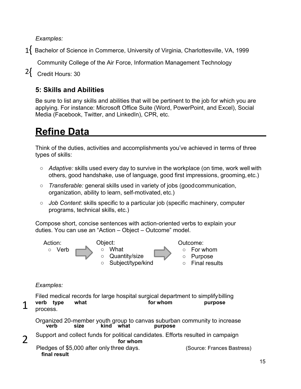*Examples:*

1{ Bachelor of Science in Commerce, University of Virginia, Charlottesville, VA, 1999

Community College of the Air Force, Information Management Technology

2{ Credit Hours: 30

## **5: Skills and Abilities**

Be sure to list any skills and abilities that will be pertinent to the job for which you are applying. For instance: Microsoft Office Suite (Word, PowerPoint, and Excel), Social Media (Facebook, Twitter, and LinkedIn), CPR, etc.

# **Refine Data**

Think of the duties, activities and accomplishments you've achieved in terms of three types of skills:

- *Adaptive:* skills used every day to survive in the workplace (on time, work well with others, good handshake, use of language, good first impressions, grooming, etc.)
- *Transferable:* general skills used in variety of jobs (goodcommunication, organization, ability to learn, self-motivated, etc.)
- *Job Content*: skills specific to a particular job (specific machinery, computer programs, technical skills, etc.)

Compose short, concise sentences with action-oriented verbs to explain your duties. You can use an "Action – Object – Outcome" model.



### *Examples:*

Filed medical records for large hospital surgical department to simplifybilling **verb type what for whom purpose**  process.

## 1

 $\overline{\phantom{a}}$ 

Organized 20-member youth group to canvas suburban community to increase **verb size kind what purpose** Support and collect funds for political candidates. Efforts resulted in campaign **for whom** Pledges of \$5,000 after only three days. (Source: Frances Bastress)

**final result**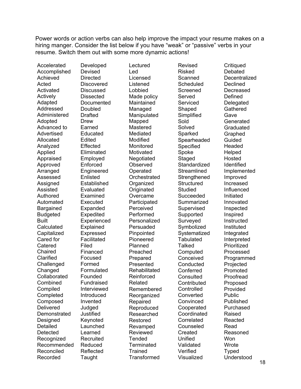Power words or action verbs can also help improve the impact your resume makes on a hiring manger. Consider the list below if you have "weak" or "passive" verbs in your resume. Switch them out with some more dynamic actions!

Accelerated Accomplished Achieved Acted Activated **Actively** Adapted Addressed Administered Adopted Advanced to Advertised Allocated Analyzed Applied Appraised Approved **Arranged** Assessed Assigned Assisted Authored Automated Bargained Budgeted Built **Calculated Capitalized** Cared for **Catered Chaired** Clarified **Challenged** Changed **Collaborated** Combined **Compiled Completed** Composed **Delivered Demonstrated Designed** Detailed Detected Recognized Recommended Reconciled Recorded

Developed Devised **Directed Discovered Discussed Dissected** Documented Doubled Drafted Drew Earned Educated Edited Effected Eliminated Employed Enforced **Engineered** Enlisted **Established** Evaluated Examined Executed Expanded Expedited Experienced Explained Expressed Facilitated Filed Financed Focused Formed Formulated Founded Fundraised Interviewed Introduced Invented Judged Justified Keynoted Launched Learned Recruited Reduced Reflected Taught

Lectured Led Licensed **Listened** Lobbied Made policy Maintained Managed Manipulated Mapped Mastered Mediated Modified Monitored Motivated Negotiated **Observed Operated Orchestrated** Organized **Originated** Overcame Participated Perceived Performed Personalized Persuaded Pinpointed Pioneered Planned Preached Prepared Presented **Rehabilitated** Reinforced Related Remembered Reorganized Repaired Reproduced Researched Restored Revamped Reviewed **Tended** Terminated **Trained Transformed** 

Revised Risked **Scanned Scheduled Screened** Served Serviced Shaped Simplified Sold Solved **Sparked** Spearheaded Specified Spoke Staged **Standardized Streamlined Strengthened Structured** Studied Succeeded **Summarized** Supervised Supported Surveyed Symbolized **Systematized Tabulated Talked Computed Conceived Conducted Conferred Consulted** Contributed **Controlled Converted** Convinced Cooperated **Coordinated Correlated Counseled Created** Unified Validated Verified Visualized

**Critiqued Debated Decentralized Declined Decreased** Defined Delegated **Gathered** Gave **Generated Graduated Graphed** Guided Headed Helped Hosted Identified Implemented Improved Increased Influenced Initiated Innovated Inspected Inspired Instructed Instituted **Integrated** Interpreted Prioritized Processed Programmed Projected Promoted Proofread Proposed Provided Public Published Purchased Raised Reacted Read Reasoned **Won** Wrote Typed Understood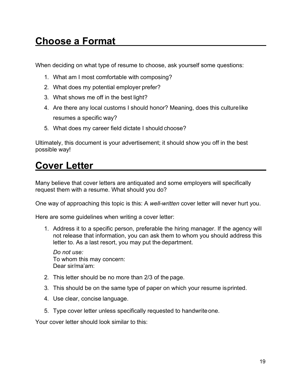## **Choose a Format**

When deciding on what type of resume to choose, ask yourself some questions:

- 1. What am I most comfortable with composing?
- 2. What does my potential employer prefer?
- 3. What shows me off in the best light?
- 4. Are there any local customs I should honor? Meaning, does this culturelike resumes a specific way?
- 5. What does my career field dictate I should choose?

Ultimately, this document is your advertisement; it should show you off in the best possible way!

## **Cover Letter**

Many believe that cover letters are antiquated and some employers will specifically request them with a resume. What should you do?

One way of approaching this topic is this: A *well-written* cover letter will never hurt you.

Here are some guidelines when writing a cover letter:

1. Address it to a specific person, preferable the hiring manager. If the agency will not release that information, you can ask them to whom you should address this letter to. As a last resort, you may put the department.

*Do not use:* To whom this may concern: Dear sir/ma'am:

- 2. This letter should be no more than 2/3 of the page.
- 3. This should be on the same type of paper on which your resume isprinted.
- 4. Use clear, concise language.
- 5. Type cover letter unless specifically requested to handwriteone.

Your cover letter should look similar to this: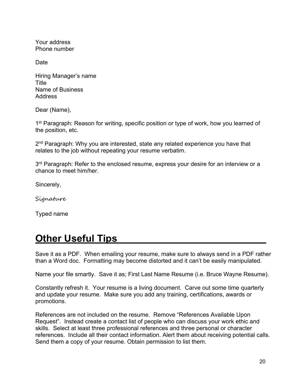Your address Phone number

Date

Hiring Manager's name Title Name of Business Address

Dear (Name),

1<sup>st</sup> Paragraph: Reason for writing, specific position or type of work, how you learned of the position, etc.

2<sup>nd</sup> Paragraph: Why you are interested, state any related experience you have that relates to the job without repeating your resume verbatim.

 $3<sup>rd</sup>$  Paragraph: Refer to the enclosed resume, express your desire for an interview or a chance to meet him/her.

Sincerely,

Signature

Typed name

## **Other Useful Tips**

Save it as a PDF. When emailing your resume, make sure to always send in a PDF rather than a Word doc. Formatting may become distorted and it can't be easily manipulated.

Name your file smartly. Save it as; First Last Name Resume (i.e. Bruce Wayne Resume).

Constantly refresh it. Your resume is a living document. Carve out some time quarterly and update your resume. Make sure you add any training, certifications, awards or promotions.

References are not included on the resume. Remove "References Available Upon Request". Instead create a contact list of people who can discuss your work ethic and skills. Select at least three professional references and three personal or character references. Include all their contact information. Alert them about receiving potential calls. Send them a copy of your resume. Obtain permission to list them.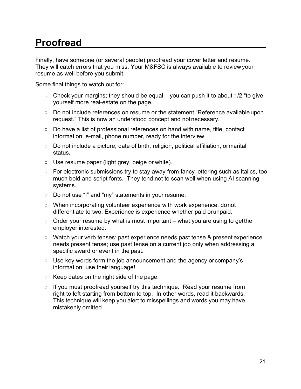# **Proofread**

Finally, have someone (or several people) proofread your cover letter and resume. They will catch errors that you miss. Your M&FSC is always available to reviewyour resume as well before you submit.

Some final things to watch out for:

- $\circ$  Check your margins; they should be equal you can push it to about 1/2 "to give yourself more real-estate on the page.
- Do not include references on resume or the statement "Reference available upon request." This is now an understood concept and notnecessary.
- Do have a list of professional references on hand with name, title, contact information; e-mail, phone number, ready for the interview
- Do not include a picture, date of birth, religion, political affiliation, ormarital status.
- Use resume paper (light grey, beige or white).
- For electronic submissions try to stay away from fancy lettering such as italics, too much bold and script fonts. They tend not to scan well when using AI scanning systems.
- Do not use "I" and "my" statements in your resume.
- When incorporating volunteer experience with work experience, donot differentiate to two. Experience is experience whether paid orunpaid.
- $\circ$  Order your resume by what is most important what you are using to getthe employer interested.
- Watch your verb tenses: past experience needs past tense & present experience needs present tense; use past tense on a current job only when addressing a specific award or event in the past.
- Use key words form the job announcement and the agency or company's information; use their language!
- Keep dates on the right side of the page.
- If you must proofread yourself try this technique. Read your resume from right to left starting from bottom to top. In other words, read it backwards. This technique will keep you alert to misspellings and words you may have mistakenly omitted.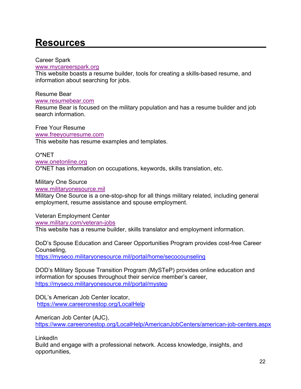# **Resources**

Career Spark

#### [www.mycareerspark.org](http://www.mycareerspark.org/)

This website boasts a resume builder, tools for creating a skills-based resume, and information about searching for jobs.

Resume Bear

[www.resumebear.com](http://www.resumebear.com/)

Resume Bear is focused on the military population and has a resume builder and job search information.

Free Your Resume [www.freeyourresume.com](http://www.freeyourresume.com/) This website has resume examples and templates.

O\*NET

[www.onetonline.org](http://www.onetonline.org/) O\*NET has information on occupations, keywords, skills translation, etc.

Military One Source

[www.militaryonesource.mil](http://www.militaryonesource.mil/)

Military One Source is a one-stop-shop for all things military related, including general employment, resume assistance and spouse employment.

Veteran Employment Center [www.military.com/veteran-jobs](http://www.military.com/veteran-jobs)

This website has a resume builder, skills translator and employment information.

DoD's Spouse Education and Career Opportunities Program provides cost-free Career Counseling, <https://myseco.militaryonesource.mil/portal/home/secocounseling>

DOD's Military Spouse Transition Program (MySTeP) provides online education and information for spouses throughout their service member's career, <https://myseco.militaryonesource.mil/portal/mystep>

DOL's American Job Center locator, <https://www.careeronestop.org/LocalHelp>

American Job Center (AJC), <https://www.careeronestop.org/LocalHelp/AmericanJobCenters/american-job-centers.aspx>

LinkedIn

Build and engage with a professional network. Access knowledge, insights, and opportunities,